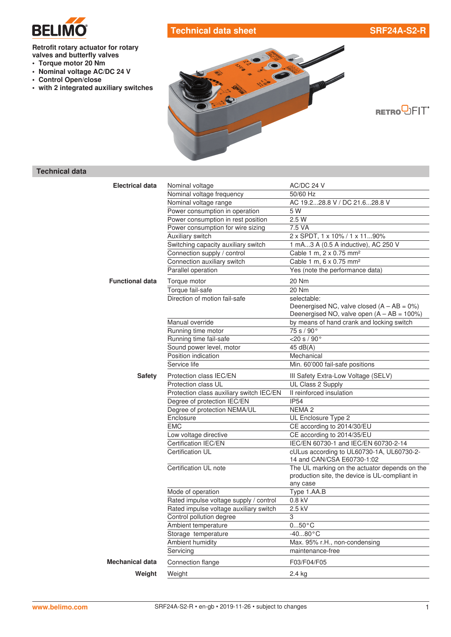

## **Technical data sheet SRF24A-S2-R**

#### **Retrofit rotary actuator for rotary valves and butterfly valves**

- **• Torque motor 20 Nm**
- **• Nominal voltage AC/DC 24 V**
- **• Control Open/close**
- **• with 2 integrated auxiliary switches**



**RETRO**UFIT<sup>®</sup>

# **Technical data**

| <b>Electrical data</b> | Nominal voltage                          | AC/DC 24 V                                     |
|------------------------|------------------------------------------|------------------------------------------------|
|                        | Nominal voltage frequency                | 50/60 Hz                                       |
|                        | Nominal voltage range                    | AC 19.228.8 V / DC 21.628.8 V                  |
|                        | Power consumption in operation           | 5 W                                            |
|                        | Power consumption in rest position       | 2.5 W                                          |
|                        | Power consumption for wire sizing        | 7.5 VA                                         |
|                        | Auxiliary switch                         | 2 x SPDT, 1 x 10% / 1 x 1190%                  |
|                        | Switching capacity auxiliary switch      | 1 mA3 A (0.5 A inductive), AC 250 V            |
|                        | Connection supply / control              | Cable 1 m, 2 x 0.75 mm <sup>2</sup>            |
|                        | Connection auxiliary switch              | Cable 1 m, 6 x 0.75 mm <sup>2</sup>            |
|                        | Parallel operation                       | Yes (note the performance data)                |
| <b>Functional data</b> | Torque motor                             | 20 Nm                                          |
|                        | Torque fail-safe                         | 20 Nm                                          |
|                        | Direction of motion fail-safe            | selectable:                                    |
|                        |                                          | Deenergised NC, valve closed $(A - AB = 0\%)$  |
|                        |                                          | Deenergised NO, valve open $(A - AB = 100\%)$  |
|                        | Manual override                          | by means of hand crank and locking switch      |
|                        | Running time motor                       | 75 s / 90°                                     |
|                        | Running time fail-safe                   | $<$ 20 s / 90 $^{\circ}$                       |
|                        | Sound power level, motor                 | 45 dB(A)                                       |
|                        | Position indication                      | Mechanical                                     |
|                        | Service life                             | Min. 60'000 fail-safe positions                |
| <b>Safety</b>          | Protection class IEC/EN                  | III Safety Extra-Low Voltage (SELV)            |
|                        | Protection class UL                      | UL Class 2 Supply                              |
|                        | Protection class auxiliary switch IEC/EN | Il reinforced insulation                       |
|                        | Degree of protection IEC/EN              | <b>IP54</b>                                    |
|                        | Degree of protection NEMA/UL             | NEMA <sub>2</sub>                              |
|                        | Enclosure                                | UL Enclosure Type 2                            |
|                        | <b>EMC</b>                               | CE according to 2014/30/EU                     |
|                        | Low voltage directive                    | CE according to 2014/35/EU                     |
|                        | Certification IEC/EN                     | IEC/EN 60730-1 and IEC/EN 60730-2-14           |
|                        | <b>Certification UL</b>                  | cULus according to UL60730-1A, UL60730-2-      |
|                        |                                          | 14 and CAN/CSA E60730-1:02                     |
|                        | Certification UL note                    | The UL marking on the actuator depends on the  |
|                        |                                          | production site, the device is UL-compliant in |
|                        |                                          | any case                                       |
|                        | Mode of operation                        | Type 1.AA.B                                    |
|                        | Rated impulse voltage supply / control   | 0.8 kV                                         |
|                        | Rated impulse voltage auxiliary switch   | 2.5 kV                                         |
|                        | Control pollution degree                 | 3                                              |
|                        | Ambient temperature                      | $050$ °C                                       |
|                        | Storage temperature                      | $-4080$ °C                                     |
|                        | Ambient humidity                         | Max. 95% r.H., non-condensing                  |
|                        | Servicing                                | maintenance-free                               |
| <b>Mechanical data</b> | Connection flange                        | F03/F04/F05                                    |
| Weight                 | Weight                                   | 2.4 kg                                         |
|                        |                                          |                                                |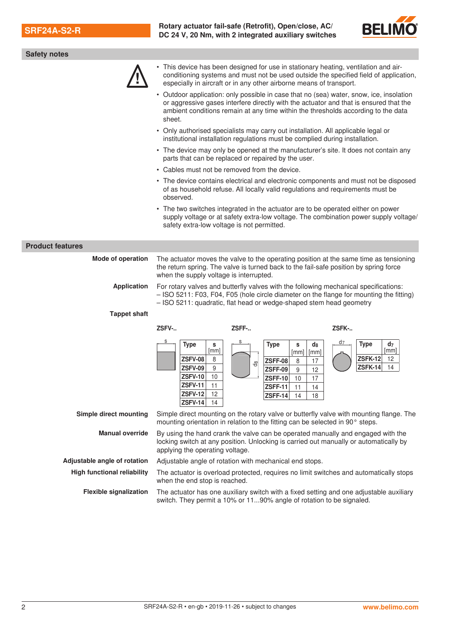**SRF24A-S2-R Rotary actuator fail-safe (Retrofit), Open/close, AC/ DC 24 V, 20 Nm, with 2 integrated auxiliary switches**



#### **Safety notes**



- This device has been designed for use in stationary heating, ventilation and air-<br>conditioning systems and must not be used outside the specified field of applica<br>especially in aircraft or in any other airborne means of conditioning systems and must not be used outside the specified field of application, especially in aircraft or in any other airborne means of transport.
	- Outdoor application: only possible in case that no (sea) water, snow, ice, insolation or aggressive gases interfere directly with the actuator and that is ensured that the ambient conditions remain at any time within the thresholds according to the data sheet.
	- Only authorised specialists may carry out installation. All applicable legal or institutional installation regulations must be complied during installation.
	- The device may only be opened at the manufacturer's site. It does not contain any parts that can be replaced or repaired by the user.
	- Cables must not be removed from the device.
	- The device contains electrical and electronic components and must not be disposed of as household refuse. All locally valid regulations and requirements must be observed.
	- The two switches integrated in the actuator are to be operated either on power supply voltage or at safety extra-low voltage. The combination power supply voltage/ safety extra-low voltage is not permitted.

**Mode of operation** The actuator moves the valve to the operating position at the same time as tensioning the return spring. The valve is turned back to the fail-safe position by spring force when the supply voltage is interrupted.

| Application | For rotary valves and butterfly valves with the following mechanical specifications:    |
|-------------|-----------------------------------------------------------------------------------------|
|             | - ISO 5211: F03, F04, F05 (hole circle diameter on the flange for mounting the fitting) |
|             | - ISO 5211: quadratic, flat head or wedge-shaped stem head geometry                     |
|             |                                                                                         |

#### **Tappet shaft**

 $Type$  s [mm]  $ZSFV-08$  8  $ZSFV-09$  9 ZSFV-10 10 ZSFV-11 11 ZSFV-12 12 **ZSFV-14** 14 s  $\alpha$ Type s [mm] d<sub>8</sub> [mm]  $ZSFF-08$  8 17  $ZSFF-09$  9 12  $ZSFF-10$  10 17  $ZSFF-11$  11 14 **ZSFF-14** 14 18 Type d<sub>7</sub> [mm] ZSFK-12 12 ZSFK-14 14 ZSFV-.. ZSFF-.. ZSFK-.. **Simple direct mounting** Simple direct mounting on the rotary valve or butterfly valve with mounting flange. The mounting orientation in relation to the fitting can be selected in 90° steps. **Manual override** By using the hand crank the valve can be operated manually and engaged with the locking switch at any position. Unlocking is carried out manually or automatically by applying the operating voltage. **Adjustable angle of rotation** Adjustable angle of rotation with mechanical end stops. **High functional reliability** The actuator is overload protected, requires no limit switches and automatically stops when the end stop is reached. **Flexible signalization** The actuator has one auxiliary switch with a fixed setting and one adjustable auxiliary switch. They permit a 10% or 11...90% angle of rotation to be signaled.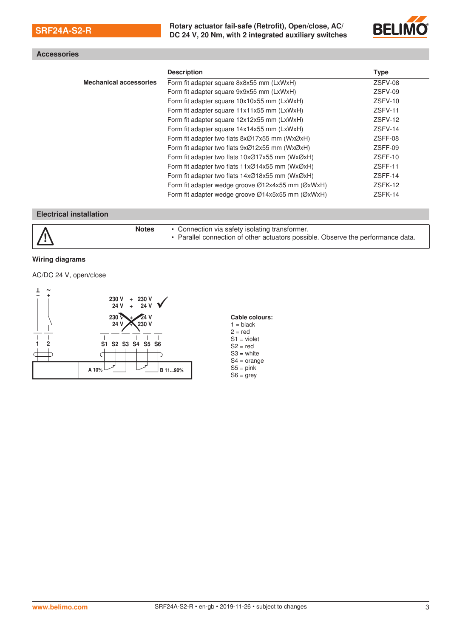**SRF24A-S2-R Rotary actuator fail-safe (Retrofit), Open/close, AC/**<br> **RG 24 V 20 Nm** with 2 integrated ouvilians ewitobac **DC 24 V, 20 Nm, with 2 integrated auxiliary switches**



### **Accessories**

|                               | <b>Description</b>                                                           | <b>Type</b> |
|-------------------------------|------------------------------------------------------------------------------|-------------|
| <b>Mechanical accessories</b> | Form fit adapter square 8x8x55 mm (LxWxH)                                    | ZSFV-08     |
|                               | Form fit adapter square 9x9x55 mm (LxWxH)                                    | ZSFV-09     |
|                               | Form fit adapter square 10x10x55 mm (LxWxH)                                  | ZSFV-10     |
|                               | Form fit adapter square 11x11x55 mm (LxWxH)                                  | ZSFV-11     |
|                               | Form fit adapter square 12x12x55 mm (LxWxH)                                  | $ZSFV-12$   |
|                               | Form fit adapter square 14x14x55 mm (LxWxH)                                  | ZSFV-14     |
|                               | Form fit adapter two flats $8x\varnothing$ 17x55 mm (Wx $\varnothing xH$ )   | ZSFF-08     |
|                               | Form fit adapter two flats $9x@12x55$ mm (Wx $@xH$ )                         | ZSFF-09     |
|                               | Form fit adapter two flats $10 \times 017 \times 55$ mm (W $\times$ ØxH)     | ZSFF-10     |
|                               | Form fit adapter two flats $11x\varnothing$ 14x55 mm (Wx $\varnothing$ xH)   | ZSFF-11     |
|                               | Form fit adapter two flats 14xØ18x55 mm (WxØxH)                              | ZSFF-14     |
|                               | Form fit adapter wedge groove Ø12x4x55 mm (ØxWxH)                            | ZSFK-12     |
|                               | Form fit adapter wedge groove $\varnothing$ 14x5x55 mm ( $\varnothing$ xWxH) | ZSFK-14     |

#### **Electrical installation**

| <b>Notes</b> | • Connection via safety isolating transformer.                                   |
|--------------|----------------------------------------------------------------------------------|
| $\Delta$     | . Parallel connection of other actuators possible. Observe the performance data. |

### **Wiring diagrams**

AC/DC 24 V, open/close



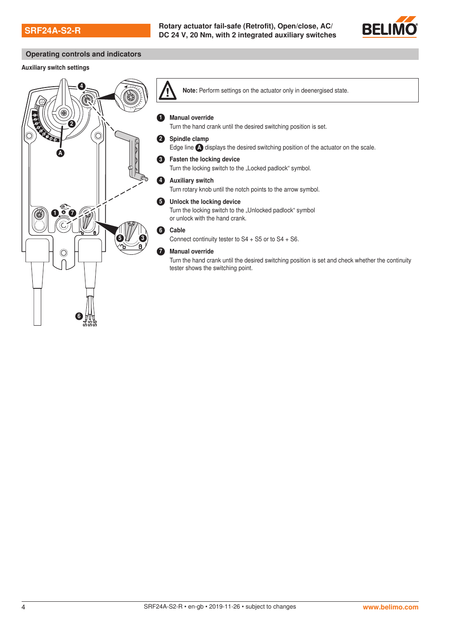**SRF24A-S2-R Rotary actuator fail-safe (Retrofit), Open/close, AC/**<br> **RG 24 V 20 Nm** with 2 integrated ouvilians quitabase **DC 24 V, 20 Nm, with 2 integrated auxiliary switches**



#### **Operating controls and indicators**

#### Auxiliary switch settings



- Note: Perform settings on the actuator only in deenergised state.
- <sup>1</sup> Manual override

Turn the hand crank until the desired switching position is set.

2 Spindle clamp

Edge line  $\bigoplus$  displays the desired switching position of the actuator on the scale.

- **3** Fasten the locking device Turn the locking switch to the "Locked padlock" symbol.
- **4** Auxiliary switch

Turn rotary knob until the notch points to the arrow symbol.

**5** Unlock the locking device

Turn the locking switch to the "Unlocked padlock" symbol or unlock with the hand crank.

6 Cable

Connect continuity tester to S4 + S5 or to S4 + S6.

#### **2** Manual override

Turn the hand crank until the desired switching position is set and check whether the continuity tester shows the switching point.